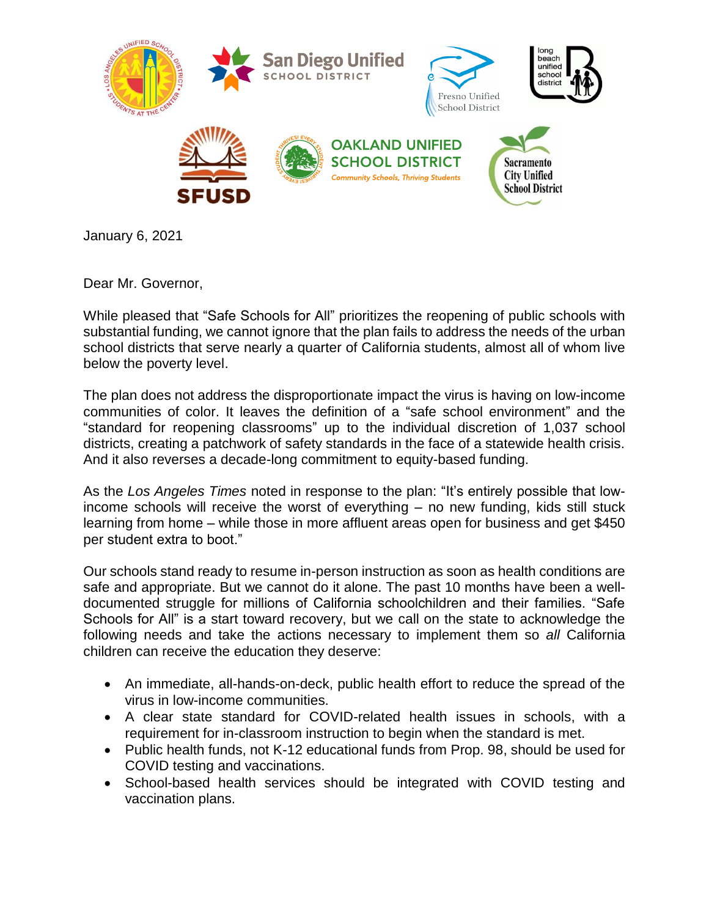

January 6, 2021

Dear Mr. Governor,

While pleased that "Safe Schools for All" prioritizes the reopening of public schools with substantial funding, we cannot ignore that the plan fails to address the needs of the urban school districts that serve nearly a quarter of California students, almost all of whom live below the poverty level.

The plan does not address the disproportionate impact the virus is having on low-income communities of color. It leaves the definition of a "safe school environment" and the "standard for reopening classrooms" up to the individual discretion of 1,037 school districts, creating a patchwork of safety standards in the face of a statewide health crisis. And it also reverses a decade-long commitment to equity-based funding.

As the *Los Angeles Times* noted in response to the plan: "It's entirely possible that lowincome schools will receive the worst of everything – no new funding, kids still stuck learning from home – while those in more affluent areas open for business and get \$450 per student extra to boot."

Our schools stand ready to resume in-person instruction as soon as health conditions are safe and appropriate. But we cannot do it alone. The past 10 months have been a welldocumented struggle for millions of California schoolchildren and their families. "Safe Schools for All" is a start toward recovery, but we call on the state to acknowledge the following needs and take the actions necessary to implement them so *all* California children can receive the education they deserve:

- An immediate, all-hands-on-deck, public health effort to reduce the spread of the virus in low-income communities.
- A clear state standard for COVID-related health issues in schools, with a requirement for in-classroom instruction to begin when the standard is met.
- Public health funds, not K-12 educational funds from Prop. 98, should be used for COVID testing and vaccinations.
- School-based health services should be integrated with COVID testing and vaccination plans.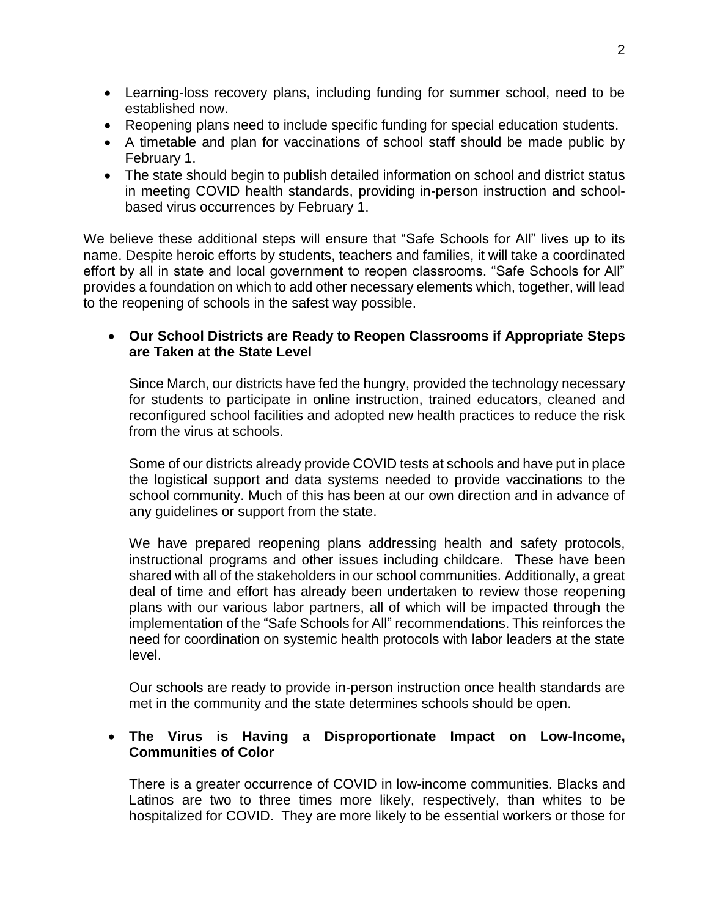- Learning-loss recovery plans, including funding for summer school, need to be established now.
- Reopening plans need to include specific funding for special education students.
- A timetable and plan for vaccinations of school staff should be made public by February 1.
- The state should begin to publish detailed information on school and district status in meeting COVID health standards, providing in-person instruction and schoolbased virus occurrences by February 1.

We believe these additional steps will ensure that "Safe Schools for All" lives up to its name. Despite heroic efforts by students, teachers and families, it will take a coordinated effort by all in state and local government to reopen classrooms. "Safe Schools for All" provides a foundation on which to add other necessary elements which, together, will lead to the reopening of schools in the safest way possible.

# **Our School Districts are Ready to Reopen Classrooms if Appropriate Steps are Taken at the State Level**

Since March, our districts have fed the hungry, provided the technology necessary for students to participate in online instruction, trained educators, cleaned and reconfigured school facilities and adopted new health practices to reduce the risk from the virus at schools.

Some of our districts already provide COVID tests at schools and have put in place the logistical support and data systems needed to provide vaccinations to the school community. Much of this has been at our own direction and in advance of any guidelines or support from the state.

We have prepared reopening plans addressing health and safety protocols, instructional programs and other issues including childcare. These have been shared with all of the stakeholders in our school communities. Additionally, a great deal of time and effort has already been undertaken to review those reopening plans with our various labor partners, all of which will be impacted through the implementation of the "Safe Schools for All" recommendations. This reinforces the need for coordination on systemic health protocols with labor leaders at the state level.

Our schools are ready to provide in-person instruction once health standards are met in the community and the state determines schools should be open.

# **The Virus is Having a Disproportionate Impact on Low-Income, Communities of Color**

There is a greater occurrence of COVID in low-income communities. Blacks and Latinos are two to three times more likely, respectively, than whites to be hospitalized for COVID. They are more likely to be essential workers or those for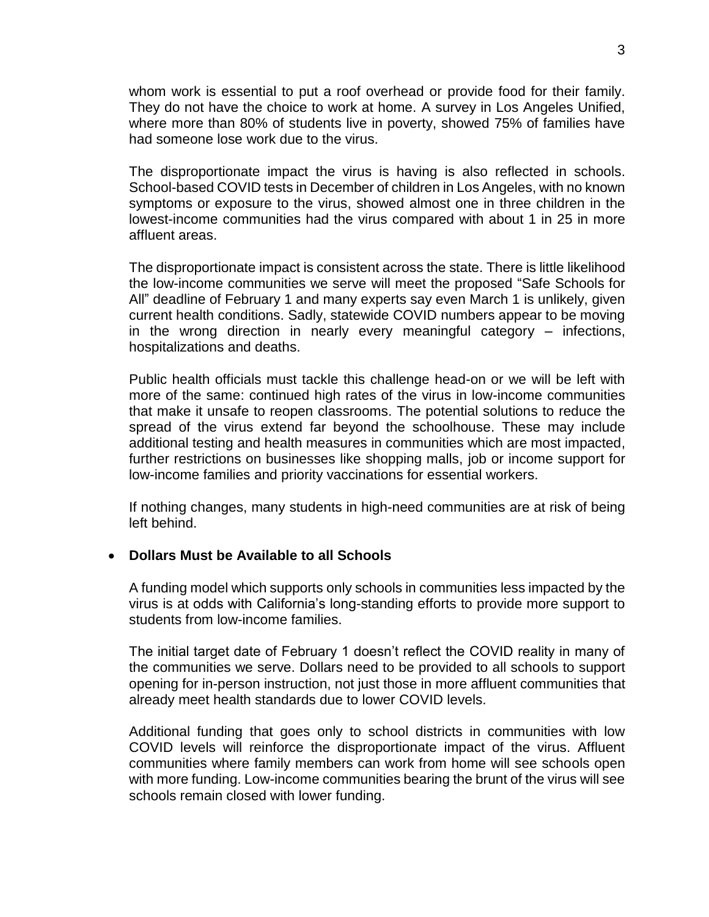whom work is essential to put a roof overhead or provide food for their family. They do not have the choice to work at home. A survey in Los Angeles Unified, where more than 80% of students live in poverty, showed 75% of families have had someone lose work due to the virus.

The disproportionate impact the virus is having is also reflected in schools. School-based COVID tests in December of children in Los Angeles, with no known symptoms or exposure to the virus, showed almost one in three children in the lowest-income communities had the virus compared with about 1 in 25 in more affluent areas.

The disproportionate impact is consistent across the state. There is little likelihood the low-income communities we serve will meet the proposed "Safe Schools for All" deadline of February 1 and many experts say even March 1 is unlikely, given current health conditions. Sadly, statewide COVID numbers appear to be moving in the wrong direction in nearly every meaningful category – infections, hospitalizations and deaths.

Public health officials must tackle this challenge head-on or we will be left with more of the same: continued high rates of the virus in low-income communities that make it unsafe to reopen classrooms. The potential solutions to reduce the spread of the virus extend far beyond the schoolhouse. These may include additional testing and health measures in communities which are most impacted, further restrictions on businesses like shopping malls, job or income support for low-income families and priority vaccinations for essential workers.

If nothing changes, many students in high-need communities are at risk of being left behind.

#### **Dollars Must be Available to all Schools**

A funding model which supports only schools in communities less impacted by the virus is at odds with California's long-standing efforts to provide more support to students from low-income families.

The initial target date of February 1 doesn't reflect the COVID reality in many of the communities we serve. Dollars need to be provided to all schools to support opening for in-person instruction, not just those in more affluent communities that already meet health standards due to lower COVID levels.

Additional funding that goes only to school districts in communities with low COVID levels will reinforce the disproportionate impact of the virus. Affluent communities where family members can work from home will see schools open with more funding. Low-income communities bearing the brunt of the virus will see schools remain closed with lower funding.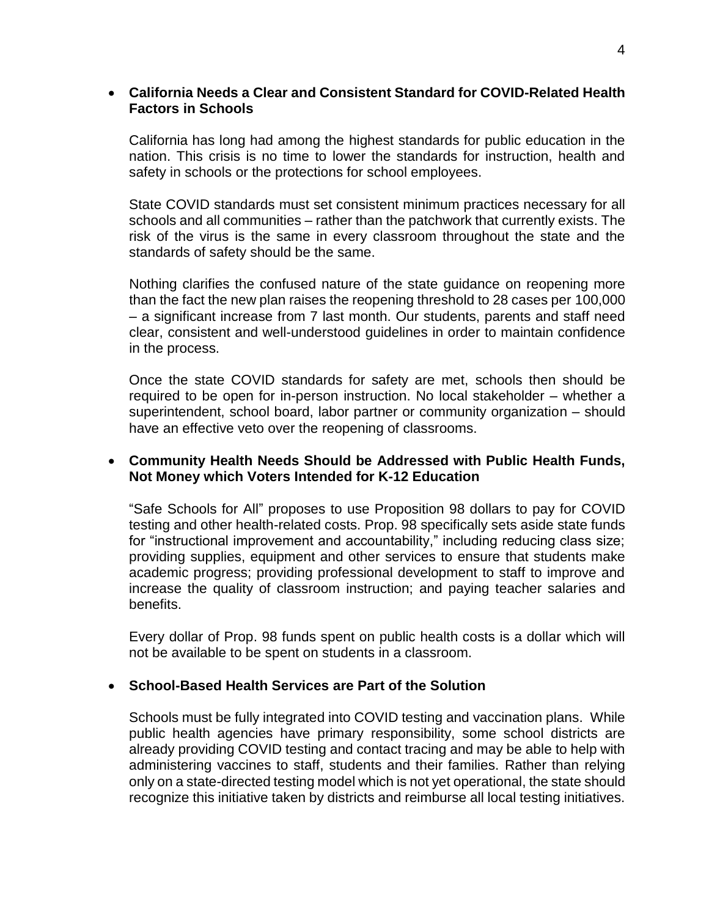#### **California Needs a Clear and Consistent Standard for COVID-Related Health Factors in Schools**

California has long had among the highest standards for public education in the nation. This crisis is no time to lower the standards for instruction, health and safety in schools or the protections for school employees.

State COVID standards must set consistent minimum practices necessary for all schools and all communities – rather than the patchwork that currently exists. The risk of the virus is the same in every classroom throughout the state and the standards of safety should be the same.

Nothing clarifies the confused nature of the state guidance on reopening more than the fact the new plan raises the reopening threshold to 28 cases per 100,000 – a significant increase from 7 last month. Our students, parents and staff need clear, consistent and well-understood guidelines in order to maintain confidence in the process.

Once the state COVID standards for safety are met, schools then should be required to be open for in-person instruction. No local stakeholder – whether a superintendent, school board, labor partner or community organization – should have an effective veto over the reopening of classrooms.

## **Community Health Needs Should be Addressed with Public Health Funds, Not Money which Voters Intended for K-12 Education**

"Safe Schools for All" proposes to use Proposition 98 dollars to pay for COVID testing and other health-related costs. Prop. 98 specifically sets aside state funds for "instructional improvement and accountability," including reducing class size; providing supplies, equipment and other services to ensure that students make academic progress; providing professional development to staff to improve and increase the quality of classroom instruction; and paying teacher salaries and benefits.

Every dollar of Prop. 98 funds spent on public health costs is a dollar which will not be available to be spent on students in a classroom.

#### **School-Based Health Services are Part of the Solution**

Schools must be fully integrated into COVID testing and vaccination plans. While public health agencies have primary responsibility, some school districts are already providing COVID testing and contact tracing and may be able to help with administering vaccines to staff, students and their families. Rather than relying only on a state-directed testing model which is not yet operational, the state should recognize this initiative taken by districts and reimburse all local testing initiatives.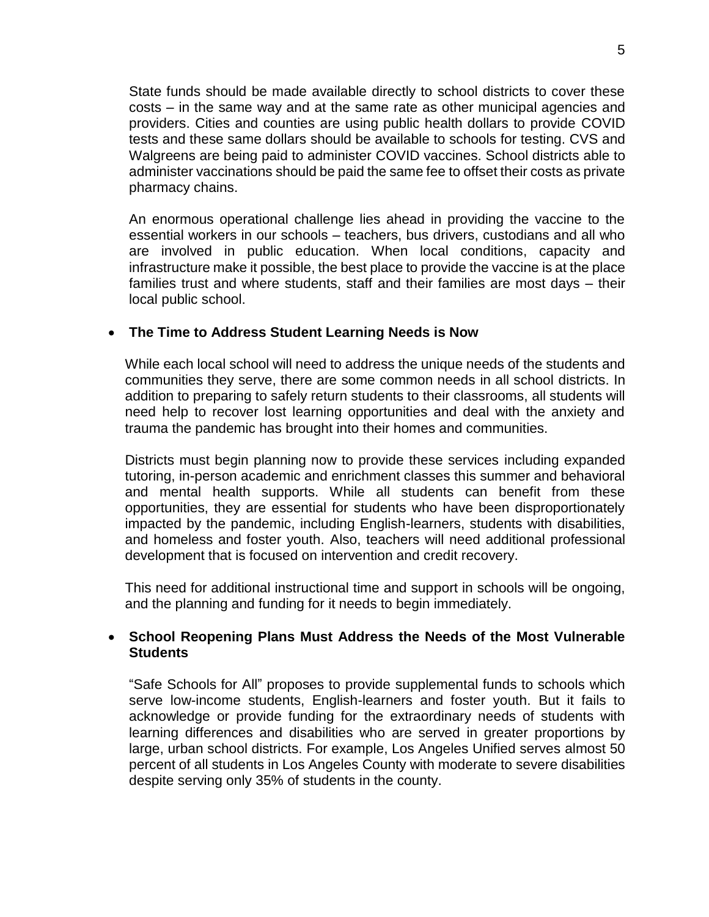State funds should be made available directly to school districts to cover these costs – in the same way and at the same rate as other municipal agencies and providers. Cities and counties are using public health dollars to provide COVID tests and these same dollars should be available to schools for testing. CVS and Walgreens are being paid to administer COVID vaccines. School districts able to administer vaccinations should be paid the same fee to offset their costs as private pharmacy chains.

An enormous operational challenge lies ahead in providing the vaccine to the essential workers in our schools – teachers, bus drivers, custodians and all who are involved in public education. When local conditions, capacity and infrastructure make it possible, the best place to provide the vaccine is at the place families trust and where students, staff and their families are most days – their local public school.

#### **The Time to Address Student Learning Needs is Now**

While each local school will need to address the unique needs of the students and communities they serve, there are some common needs in all school districts. In addition to preparing to safely return students to their classrooms, all students will need help to recover lost learning opportunities and deal with the anxiety and trauma the pandemic has brought into their homes and communities.

Districts must begin planning now to provide these services including expanded tutoring, in-person academic and enrichment classes this summer and behavioral and mental health supports. While all students can benefit from these opportunities, they are essential for students who have been disproportionately impacted by the pandemic, including English-learners, students with disabilities, and homeless and foster youth. Also, teachers will need additional professional development that is focused on intervention and credit recovery.

This need for additional instructional time and support in schools will be ongoing, and the planning and funding for it needs to begin immediately.

## **School Reopening Plans Must Address the Needs of the Most Vulnerable Students**

"Safe Schools for All" proposes to provide supplemental funds to schools which serve low-income students, English-learners and foster youth. But it fails to acknowledge or provide funding for the extraordinary needs of students with learning differences and disabilities who are served in greater proportions by large, urban school districts. For example, Los Angeles Unified serves almost 50 percent of all students in Los Angeles County with moderate to severe disabilities despite serving only 35% of students in the county.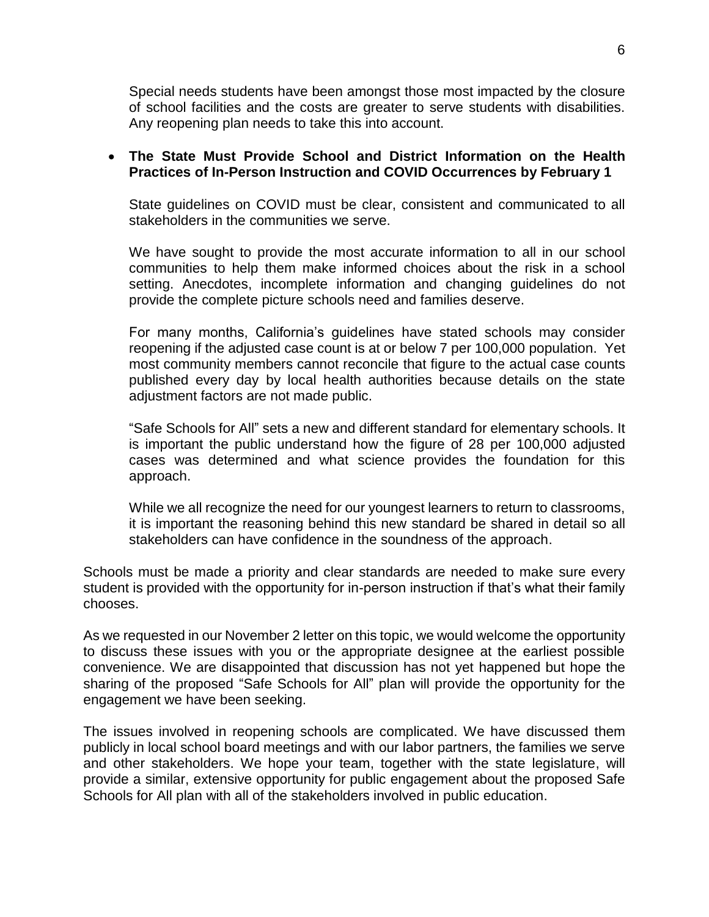Special needs students have been amongst those most impacted by the closure of school facilities and the costs are greater to serve students with disabilities. Any reopening plan needs to take this into account.

## **The State Must Provide School and District Information on the Health Practices of In-Person Instruction and COVID Occurrences by February 1**

State guidelines on COVID must be clear, consistent and communicated to all stakeholders in the communities we serve.

We have sought to provide the most accurate information to all in our school communities to help them make informed choices about the risk in a school setting. Anecdotes, incomplete information and changing guidelines do not provide the complete picture schools need and families deserve.

For many months, California's guidelines have stated schools may consider reopening if the adjusted case count is at or below 7 per 100,000 population. Yet most community members cannot reconcile that figure to the actual case counts published every day by local health authorities because details on the state adjustment factors are not made public.

"Safe Schools for All" sets a new and different standard for elementary schools. It is important the public understand how the figure of 28 per 100,000 adjusted cases was determined and what science provides the foundation for this approach.

While we all recognize the need for our youngest learners to return to classrooms, it is important the reasoning behind this new standard be shared in detail so all stakeholders can have confidence in the soundness of the approach.

Schools must be made a priority and clear standards are needed to make sure every student is provided with the opportunity for in-person instruction if that's what their family chooses.

As we requested in our November 2 letter on this topic, we would welcome the opportunity to discuss these issues with you or the appropriate designee at the earliest possible convenience. We are disappointed that discussion has not yet happened but hope the sharing of the proposed "Safe Schools for All" plan will provide the opportunity for the engagement we have been seeking.

The issues involved in reopening schools are complicated. We have discussed them publicly in local school board meetings and with our labor partners, the families we serve and other stakeholders. We hope your team, together with the state legislature, will provide a similar, extensive opportunity for public engagement about the proposed Safe Schools for All plan with all of the stakeholders involved in public education.